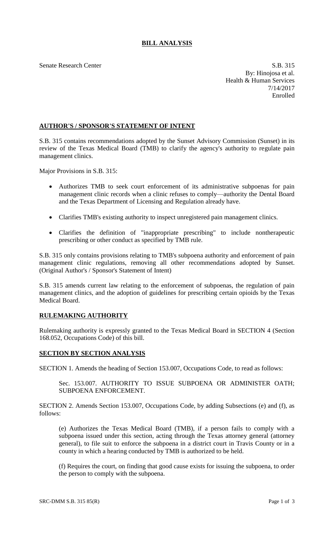# **BILL ANALYSIS**

Senate Research Center S.B. 315 By: Hinojosa et al. Health & Human Services 7/14/2017 Enrolled

## **AUTHOR'S / SPONSOR'S STATEMENT OF INTENT**

S.B. 315 contains recommendations adopted by the Sunset Advisory Commission (Sunset) in its review of the Texas Medical Board (TMB) to clarify the agency's authority to regulate pain management clinics.

Major Provisions in S.B. 315:

- Authorizes TMB to seek court enforcement of its administrative subpoenas for pain management clinic records when a clinic refuses to comply—authority the Dental Board and the Texas Department of Licensing and Regulation already have.
- Clarifies TMB's existing authority to inspect unregistered pain management clinics.
- Clarifies the definition of "inappropriate prescribing" to include nontherapeutic prescribing or other conduct as specified by TMB rule.

S.B. 315 only contains provisions relating to TMB's subpoena authority and enforcement of pain management clinic regulations, removing all other recommendations adopted by Sunset. (Original Author's / Sponsor's Statement of Intent)

S.B. 315 amends current law relating to the enforcement of subpoenas, the regulation of pain management clinics, and the adoption of guidelines for prescribing certain opioids by the Texas Medical Board.

## **RULEMAKING AUTHORITY**

Rulemaking authority is expressly granted to the Texas Medical Board in SECTION 4 (Section 168.052, Occupations Code) of this bill.

## **SECTION BY SECTION ANALYSIS**

SECTION 1. Amends the heading of Section 153.007, Occupations Code, to read as follows:

Sec. 153.007. AUTHORITY TO ISSUE SUBPOENA OR ADMINISTER OATH; SUBPOENA ENFORCEMENT.

SECTION 2. Amends Section 153.007, Occupations Code, by adding Subsections (e) and (f), as follows:

(e) Authorizes the Texas Medical Board (TMB), if a person fails to comply with a subpoena issued under this section, acting through the Texas attorney general (attorney general), to file suit to enforce the subpoena in a district court in Travis County or in a county in which a hearing conducted by TMB is authorized to be held.

(f) Requires the court, on finding that good cause exists for issuing the subpoena, to order the person to comply with the subpoena.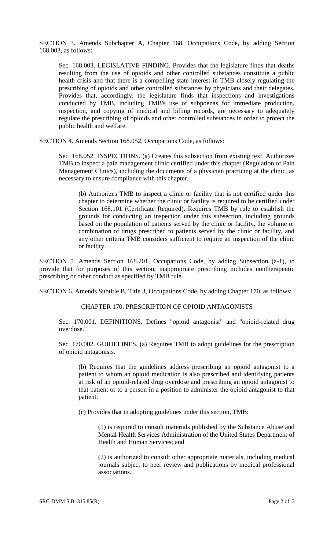SECTION 3. Amends Subchapter A, Chapter 168, Occupations Code, by adding Section 168.003, as follows:

Sec. 168.003. LEGISLATIVE FINDING. Provides that the legislature finds that deaths resulting from the use of opioids and other controlled substances constitute a public health crisis and that there is a compelling state interest in TMB closely regulating the prescribing of opioids and other controlled substances by physicians and their delegates. Provides that, accordingly, the legislature finds that inspections and investigations conducted by TMB, including TMB's use of subpoenas for immediate production, inspection, and copying of medical and billing records, are necessary to adequately regulate the prescribing of opioids and other controlled substances in order to protect the public health and welfare.

SECTION 4. Amends Section 168.052, Occupations Code, as follows:

Sec. 168.052. INSPECTIONS. (a) Creates this subsection from existing text. Authorizes TMB to inspect a pain management clinic certified under this chapter (Regulation of Pain Management Clinics), including the documents of a physician practicing at the clinic, as necessary to ensure compliance with this chapter.

(b) Authorizes TMB to inspect a clinic or facility that is not certified under this chapter to determine whether the clinic or facility is required to be certified under Section 168.101 (Certificate Required). Requires TMB by rule to establish the grounds for conducting an inspection under this subsection, including grounds based on the population of patients served by the clinic or facility, the volume or combination of drugs prescribed to patients served by the clinic or facility, and any other criteria TMB considers sufficient to require an inspection of the clinic or facility.

SECTION 5. Amends Section 168.201, Occupations Code, by adding Subsection (a-1), to provide that for purposes of this section, inappropriate prescribing includes nontherapeutic prescribing or other conduct as specified by TMB rule.

SECTION 6. Amends Subtitle B, Title 3, Occupations Code, by adding Chapter 170, as follows:

### CHAPTER 170. PRESCRIPTION OF OPIOID ANTAGONISTS

Sec. 170.001. DEFINITIONS. Defines "opioid antagonist" and "opioid-related drug overdose."

Sec. 170.002. GUIDELINES. (a) Requires TMB to adopt guidelines for the prescription of opioid antagonists.

(b) Requires that the guidelines address prescribing an opioid antagonist to a patient to whom an opioid medication is also prescribed and identifying patients at risk of an opioid-related drug overdose and prescribing an opioid antagonist to that patient or to a person in a position to administer the opioid antagonist to that patient.

(c) Provides that in adopting guidelines under this section, TMB:

(1) is required to consult materials published by the Substance Abuse and Mental Health Services Administration of the United States Department of Health and Human Services; and

(2) is authorized to consult other appropriate materials, including medical journals subject to peer review and publications by medical professional associations.